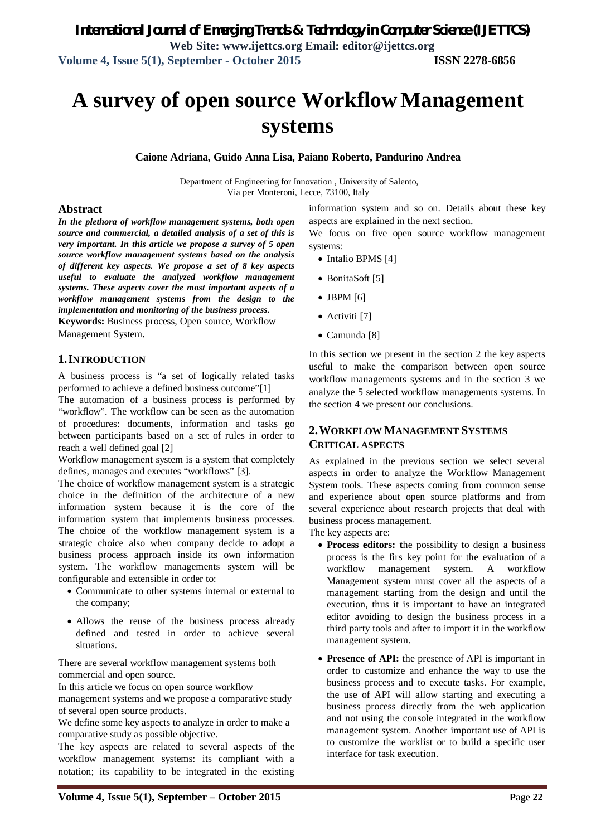# **A survey of open source WorkflowManagement systems**

**Caione Adriana, Guido Anna Lisa, Paiano Roberto, Pandurino Andrea**

Department of Engineering for Innovation , University of Salento, Via per Monteroni, Lecce, 73100, Italy

#### **Abstract**

*In the plethora of workflow management systems, both open source and commercial, a detailed analysis of a set of this is very important. In this article we propose a survey of 5 open source workflow management systems based on the analysis of different key aspects. We propose a set of 8 key aspects useful to evaluate the analyzed workflow management systems. These aspects cover the most important aspects of a workflow management systems from the design to the implementation and monitoring of the business process.* 

**Keywords:** Business process, Open source, Workflow Management System.

#### **1.INTRODUCTION**

A business process is "a set of logically related tasks performed to achieve a defined business outcome"[1]

The automation of a business process is performed by "workflow". The workflow can be seen as the automation of procedures: documents, information and tasks go between participants based on a set of rules in order to reach a well defined goal [2]

Workflow management system is a system that completely defines, manages and executes "workflows" [3].

The choice of workflow management system is a strategic choice in the definition of the architecture of a new information system because it is the core of the information system that implements business processes. The choice of the workflow management system is a strategic choice also when company decide to adopt a business process approach inside its own information system. The workflow managements system will be configurable and extensible in order to:

- Communicate to other systems internal or external to the company;
- Allows the reuse of the business process already defined and tested in order to achieve several situations.

There are several workflow management systems both commercial and open source.

In this article we focus on open source workflow

management systems and we propose a comparative study of several open source products.

We define some key aspects to analyze in order to make a comparative study as possible objective.

The key aspects are related to several aspects of the workflow management systems: its compliant with a notation; its capability to be integrated in the existing

information system and so on. Details about these key aspects are explained in the next section.

We focus on five open source workflow management systems:

- $\bullet$  Intalio BPMS [4]
- BonitaSoft [5]
- $\bullet$  JBPM  $[6]$
- Activiti [7]
- Camunda [8]

In this section we present in the section 2 the key aspects useful to make the comparison between open source workflow managements systems and in the section 3 we analyze the 5 selected workflow managements systems. In the section 4 we present our conclusions.

### **2.WORKFLOW MANAGEMENT SYSTEMS CRITICAL ASPECTS**

As explained in the previous section we select several aspects in order to analyze the Workflow Management System tools. These aspects coming from common sense and experience about open source platforms and from several experience about research projects that deal with business process management.

The key aspects are:

- **Process editors: t**he possibility to design a business process is the firs key point for the evaluation of a workflow management system. A workflow Management system must cover all the aspects of a management starting from the design and until the execution, thus it is important to have an integrated editor avoiding to design the business process in a third party tools and after to import it in the workflow management system.
- **Presence of API:** the presence of API is important in order to customize and enhance the way to use the business process and to execute tasks. For example, the use of API will allow starting and executing a business process directly from the web application and not using the console integrated in the workflow management system. Another important use of API is to customize the worklist or to build a specific user interface for task execution.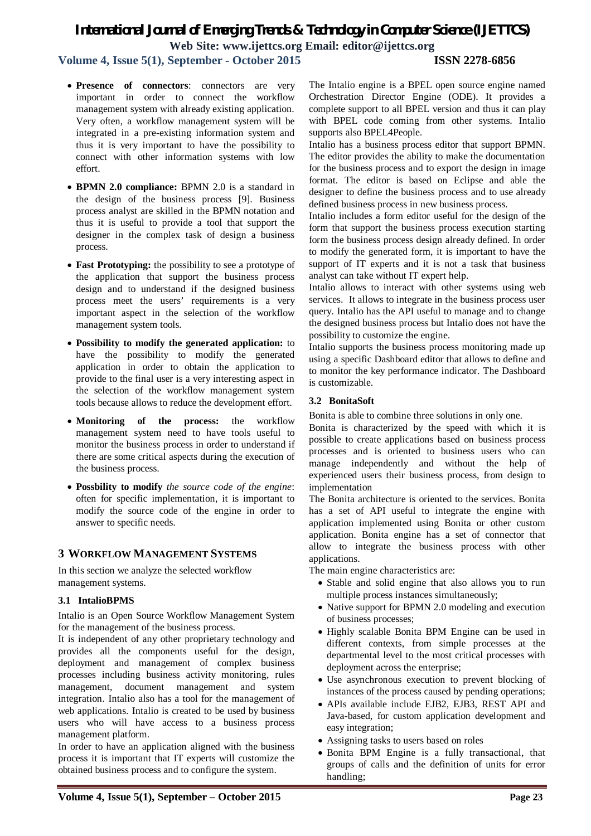### **Volume 4, Issue 5(1), September - October 2015 ISSN 2278-6856**

- **Presence of connectors**: connectors are very important in order to connect the workflow management system with already existing application. Very often, a workflow management system will be integrated in a pre-existing information system and thus it is very important to have the possibility to connect with other information systems with low effort.
- **BPMN 2.0 compliance:** BPMN 2.0 is a standard in the design of the business process [9]. Business process analyst are skilled in the BPMN notation and thus it is useful to provide a tool that support the designer in the complex task of design a business process.
- **Fast Prototyping:** the possibility to see a prototype of the application that support the business process design and to understand if the designed business process meet the users' requirements is a very important aspect in the selection of the workflow management system tools.
- **Possibility to modify the generated application:** to have the possibility to modify the generated application in order to obtain the application to provide to the final user is a very interesting aspect in the selection of the workflow management system tools because allows to reduce the development effort.
- **Monitoring of the process:** the workflow management system need to have tools useful to monitor the business process in order to understand if there are some critical aspects during the execution of the business process.
- **Possbility to modify** *the source code of the engine*: often for specific implementation, it is important to modify the source code of the engine in order to answer to specific needs.

### **3 WORKFLOW MANAGEMENT SYSTEMS**

In this section we analyze the selected workflow management systems.

### **3.1 IntalioBPMS**

Intalio is an Open Source Workflow Management System for the management of the business process.

It is independent of any other proprietary technology and provides all the components useful for the design, deployment and management of complex business processes including business activity monitoring, rules management, document management and system integration. Intalio also has a tool for the management of web applications. Intalio is created to be used by business users who will have access to a business process management platform.

In order to have an application aligned with the business process it is important that IT experts will customize the obtained business process and to configure the system.

The Intalio engine is a BPEL open source engine named Orchestration Director Engine (ODE). It provides a complete support to all BPEL version and thus it can play with BPEL code coming from other systems. Intalio supports also BPEL4People.

Intalio has a business process editor that support BPMN. The editor provides the ability to make the documentation for the business process and to export the design in image format. The editor is based on Eclipse and able the designer to define the business process and to use already defined business process in new business process.

Intalio includes a form editor useful for the design of the form that support the business process execution starting form the business process design already defined. In order to modify the generated form, it is important to have the support of IT experts and it is not a task that business analyst can take without IT expert help.

Intalio allows to interact with other systems using web services. It allows to integrate in the business process user query. Intalio has the API useful to manage and to change the designed business process but Intalio does not have the possibility to customize the engine.

Intalio supports the business process monitoring made up using a specific Dashboard editor that allows to define and to monitor the key performance indicator. The Dashboard is customizable.

#### **3.2 BonitaSoft**

Bonita is able to combine three solutions in only one.

Bonita is characterized by the speed with which it is possible to create applications based on business process processes and is oriented to business users who can manage independently and without the help of experienced users their business process, from design to implementation

The Bonita architecture is oriented to the services. Bonita has a set of API useful to integrate the engine with application implemented using Bonita or other custom application. Bonita engine has a set of connector that allow to integrate the business process with other applications.

The main engine characteristics are:

- Stable and solid engine that also allows you to run multiple process instances simultaneously;
- Native support for BPMN 2.0 modeling and execution of business processes;
- Highly scalable Bonita BPM Engine can be used in different contexts, from simple processes at the departmental level to the most critical processes with deployment across the enterprise;
- Use asynchronous execution to prevent blocking of instances of the process caused by pending operations;
- APIs available include EJB2, EJB3, REST API and Java-based, for custom application development and easy integration;
- Assigning tasks to users based on roles
- Bonita BPM Engine is a fully transactional, that groups of calls and the definition of units for error handling;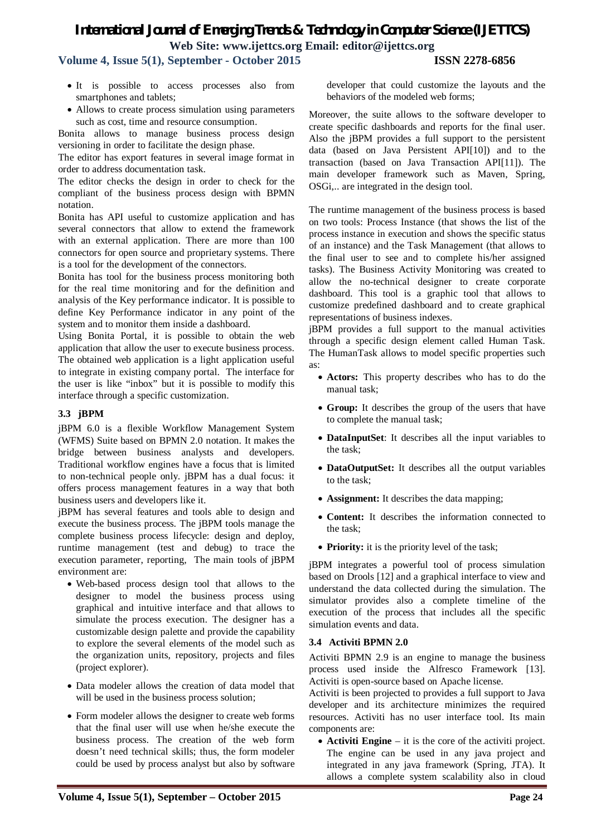**Volume 4, Issue 5(1), September - October 2015 ISSN 2278-6856**

- It is possible to access processes also from smartphones and tablets;
- Allows to create process simulation using parameters such as cost, time and resource consumption.

Bonita allows to manage business process design versioning in order to facilitate the design phase.

The editor has export features in several image format in order to address documentation task.

The editor checks the design in order to check for the compliant of the business process design with BPMN notation.

Bonita has API useful to customize application and has several connectors that allow to extend the framework with an external application. There are more than 100 connectors for open source and proprietary systems. There is a tool for the development of the connectors.

Bonita has tool for the business process monitoring both for the real time monitoring and for the definition and analysis of the Key performance indicator. It is possible to define Key Performance indicator in any point of the system and to monitor them inside a dashboard.

Using Bonita Portal, it is possible to obtain the web application that allow the user to execute business process. The obtained web application is a light application useful to integrate in existing company portal. The interface for the user is like "inbox" but it is possible to modify this interface through a specific customization.

#### **3.3 jBPM**

jBPM 6.0 is a flexible Workflow Management System (WFMS) Suite based on BPMN 2.0 notation. It makes the bridge between business analysts and developers. Traditional workflow engines have a focus that is limited to non-technical people only. jBPM has a dual focus: it offers process management features in a way that both business users and developers like it.

jBPM has several features and tools able to design and execute the business process. The jBPM tools manage the complete business process lifecycle: design and deploy, runtime management (test and debug) to trace the execution parameter, reporting, The main tools of jBPM environment are:

- Web-based process design tool that allows to the designer to model the business process using graphical and intuitive interface and that allows to simulate the process execution. The designer has a customizable design palette and provide the capability to explore the several elements of the model such as the organization units, repository, projects and files (project explorer).
- Data modeler allows the creation of data model that will be used in the business process solution;
- Form modeler allows the designer to create web forms that the final user will use when he/she execute the business process. The creation of the web form doesn't need technical skills; thus, the form modeler could be used by process analyst but also by software

developer that could customize the layouts and the behaviors of the modeled web forms;

Moreover, the suite allows to the software developer to create specific dashboards and reports for the final user. Also the jBPM provides a full support to the persistent data (based on Java Persistent API[10]) and to the transaction (based on Java Transaction API[11]). The main developer framework such as Maven, Spring, OSGi,.. are integrated in the design tool.

The runtime management of the business process is based on two tools: Process Instance (that shows the list of the process instance in execution and shows the specific status of an instance) and the Task Management (that allows to the final user to see and to complete his/her assigned tasks). The Business Activity Monitoring was created to allow the no-technical designer to create corporate dashboard. This tool is a graphic tool that allows to customize predefined dashboard and to create graphical representations of business indexes.

jBPM provides a full support to the manual activities through a specific design element called Human Task. The HumanTask allows to model specific properties such as:

- **Actors:** This property describes who has to do the manual task;
- **Group:** It describes the group of the users that have to complete the manual task;
- **DataInputSet**: It describes all the input variables to the task;
- **DataOutputSet:** It describes all the output variables to the task;
- **Assignment:** It describes the data mapping;
- **Content:** It describes the information connected to the task;
- **Priority:** it is the priority level of the task;

jBPM integrates a powerful tool of process simulation based on Drools [12] and a graphical interface to view and understand the data collected during the simulation. The simulator provides also a complete timeline of the execution of the process that includes all the specific simulation events and data.

#### **3.4 Activiti BPMN 2.0**

Activiti BPMN 2.9 is an engine to manage the business process used inside the Alfresco Framework [13]. Activiti is open-source based on Apache license.

Activiti is been projected to provides a full support to Java developer and its architecture minimizes the required resources. Activiti has no user interface tool. Its main components are:

 **Activiti Engine** – it is the core of the activiti project. The engine can be used in any java project and integrated in any java framework (Spring, JTA). It allows a complete system scalability also in cloud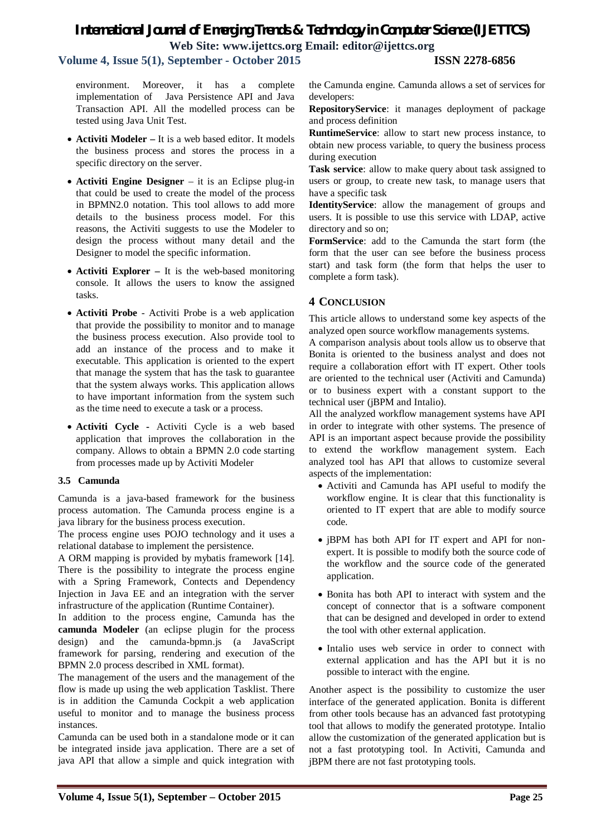### **Volume 4, Issue 5(1), September - October 2015 ISSN 2278-6856**

environment. Moreover, it has a complete implementation of Java Persistence API and Java Transaction API. All the modelled process can be tested using Java Unit Test.

- **Activiti Modeler –** It is a web based editor. It models the business process and stores the process in a specific directory on the server.
- **Activiti Engine Designer** it is an Eclipse plug-in that could be used to create the model of the process in BPMN2.0 notation. This tool allows to add more details to the business process model. For this reasons, the Activiti suggests to use the Modeler to design the process without many detail and the Designer to model the specific information.
- **Activiti Explorer –** It is the web-based monitoring console. It allows the users to know the assigned tasks.
- **Activiti Probe** Activiti Probe is a web application that provide the possibility to monitor and to manage the business process execution. Also provide tool to add an instance of the process and to make it executable. This application is oriented to the expert that manage the system that has the task to guarantee that the system always works. This application allows to have important information from the system such as the time need to execute a task or a process.
- **Activiti Cycle -** Activiti Cycle is a web based application that improves the collaboration in the company. Allows to obtain a BPMN 2.0 code starting from processes made up by Activiti Modeler

#### **3.5 Camunda**

Camunda is a java-based framework for the business process automation. The Camunda process engine is a java library for the business process execution.

The process engine uses POJO technology and it uses a relational database to implement the persistence.

A ORM mapping is provided by mybatis framework [14]. There is the possibility to integrate the process engine with a Spring Framework, Contects and Dependency Injection in Java EE and an integration with the server infrastructure of the application (Runtime Container).

In addition to the process engine, Camunda has the **camunda Modeler** (an eclipse plugin for the process design) and the camunda-bpmn.js (a JavaScript framework for parsing, rendering and execution of the BPMN 2.0 process described in XML format).

The management of the users and the management of the flow is made up using the web application Tasklist. There is in addition the Camunda Cockpit a web application useful to monitor and to manage the business process instances.

Camunda can be used both in a standalone mode or it can be integrated inside java application. There are a set of java API that allow a simple and quick integration with the Camunda engine. Camunda allows a set of services for developers:

**RepositoryService**: it manages deployment of package and process definition

**RuntimeService**: allow to start new process instance, to obtain new process variable, to query the business process during execution

**Task service**: allow to make query about task assigned to users or group, to create new task, to manage users that have a specific task

**IdentityService**: allow the management of groups and users. It is possible to use this service with LDAP, active directory and so on;

**FormService**: add to the Camunda the start form (the form that the user can see before the business process start) and task form (the form that helps the user to complete a form task).

#### **4 CONCLUSION**

This article allows to understand some key aspects of the analyzed open source workflow managements systems.

A comparison analysis about tools allow us to observe that Bonita is oriented to the business analyst and does not require a collaboration effort with IT expert. Other tools are oriented to the technical user (Activiti and Camunda) or to business expert with a constant support to the technical user (jBPM and Intalio).

All the analyzed workflow management systems have API in order to integrate with other systems. The presence of API is an important aspect because provide the possibility to extend the workflow management system. Each analyzed tool has API that allows to customize several aspects of the implementation:

- Activiti and Camunda has API useful to modify the workflow engine. It is clear that this functionality is oriented to IT expert that are able to modify source code.
- jBPM has both API for IT expert and API for nonexpert. It is possible to modify both the source code of the workflow and the source code of the generated application.
- Bonita has both API to interact with system and the concept of connector that is a software component that can be designed and developed in order to extend the tool with other external application.
- Intalio uses web service in order to connect with external application and has the API but it is no possible to interact with the engine.

Another aspect is the possibility to customize the user interface of the generated application. Bonita is different from other tools because has an advanced fast prototyping tool that allows to modify the generated prototype. Intalio allow the customization of the generated application but is not a fast prototyping tool. In Activiti, Camunda and jBPM there are not fast prototyping tools.